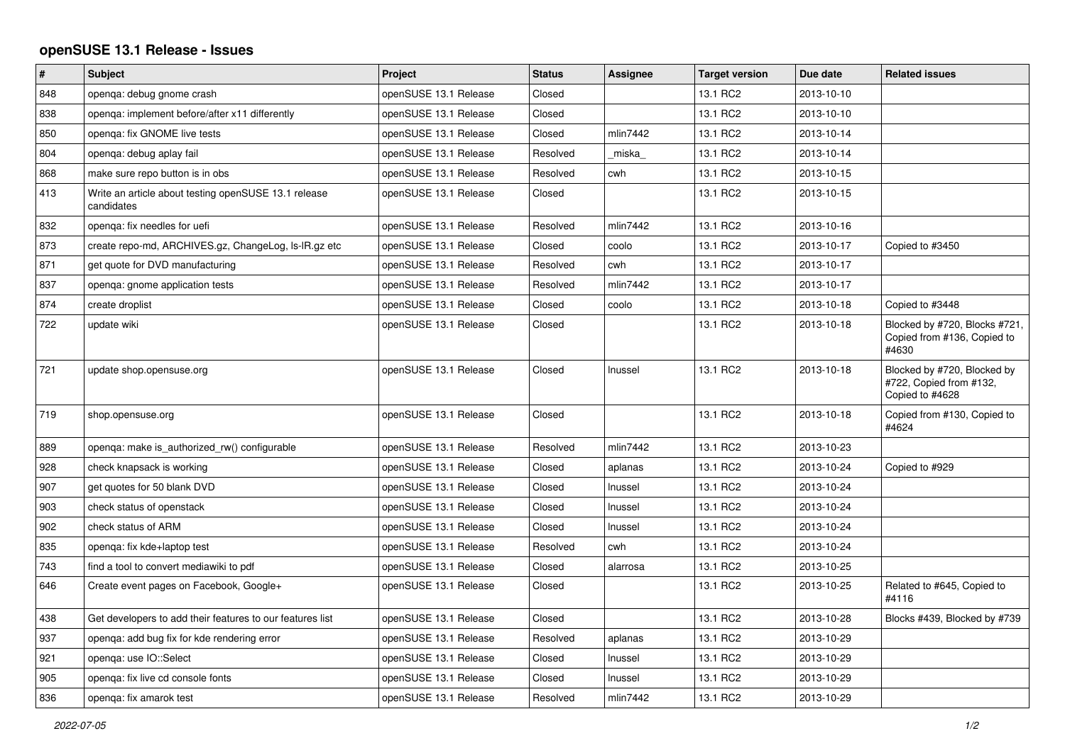## **openSUSE 13.1 Release - Issues**

| $\vert$ # | <b>Subject</b>                                                     | Project               | <b>Status</b> | Assignee | <b>Target version</b> | Due date   | <b>Related issues</b>                                                     |
|-----------|--------------------------------------------------------------------|-----------------------|---------------|----------|-----------------------|------------|---------------------------------------------------------------------------|
| 848       | openga: debug gnome crash                                          | openSUSE 13.1 Release | Closed        |          | 13.1 RC2              | 2013-10-10 |                                                                           |
| 838       | openga: implement before/after x11 differently                     | openSUSE 13.1 Release | Closed        |          | 13.1 RC2              | 2013-10-10 |                                                                           |
| 850       | openga: fix GNOME live tests                                       | openSUSE 13.1 Release | Closed        | mlin7442 | 13.1 RC2              | 2013-10-14 |                                                                           |
| 804       | openqa: debug aplay fail                                           | openSUSE 13.1 Release | Resolved      | miska    | 13.1 RC2              | 2013-10-14 |                                                                           |
| 868       | make sure repo button is in obs                                    | openSUSE 13.1 Release | Resolved      | cwh      | 13.1 RC2              | 2013-10-15 |                                                                           |
| 413       | Write an article about testing openSUSE 13.1 release<br>candidates | openSUSE 13.1 Release | Closed        |          | 13.1 RC2              | 2013-10-15 |                                                                           |
| 832       | openga: fix needles for uefi                                       | openSUSE 13.1 Release | Resolved      | mlin7442 | 13.1 RC2              | 2013-10-16 |                                                                           |
| 873       | create repo-md, ARCHIVES.gz, ChangeLog, Is-IR.gz etc               | openSUSE 13.1 Release | Closed        | coolo    | 13.1 RC2              | 2013-10-17 | Copied to #3450                                                           |
| 871       | get quote for DVD manufacturing                                    | openSUSE 13.1 Release | Resolved      | cwh      | 13.1 RC2              | 2013-10-17 |                                                                           |
| 837       | openga: gnome application tests                                    | openSUSE 13.1 Release | Resolved      | mlin7442 | 13.1 RC2              | 2013-10-17 |                                                                           |
| 874       | create droplist                                                    | openSUSE 13.1 Release | Closed        | coolo    | 13.1 RC2              | 2013-10-18 | Copied to #3448                                                           |
| 722       | update wiki                                                        | openSUSE 13.1 Release | Closed        |          | 13.1 RC2              | 2013-10-18 | Blocked by #720, Blocks #721,<br>Copied from #136, Copied to<br>#4630     |
| 721       | update shop.opensuse.org                                           | openSUSE 13.1 Release | Closed        | Inussel  | 13.1 RC2              | 2013-10-18 | Blocked by #720, Blocked by<br>#722, Copied from #132,<br>Copied to #4628 |
| 719       | shop.opensuse.org                                                  | openSUSE 13.1 Release | Closed        |          | 13.1 RC2              | 2013-10-18 | Copied from #130, Copied to<br>#4624                                      |
| 889       | openga: make is authorized rw() configurable                       | openSUSE 13.1 Release | Resolved      | mlin7442 | 13.1 RC2              | 2013-10-23 |                                                                           |
| 928       | check knapsack is working                                          | openSUSE 13.1 Release | Closed        | aplanas  | 13.1 RC2              | 2013-10-24 | Copied to #929                                                            |
| 907       | get quotes for 50 blank DVD                                        | openSUSE 13.1 Release | Closed        | Inussel  | 13.1 RC2              | 2013-10-24 |                                                                           |
| 903       | check status of openstack                                          | openSUSE 13.1 Release | Closed        | Inussel  | 13.1 RC2              | 2013-10-24 |                                                                           |
| 902       | check status of ARM                                                | openSUSE 13.1 Release | Closed        | Inussel  | 13.1 RC2              | 2013-10-24 |                                                                           |
| 835       | openga: fix kde+laptop test                                        | openSUSE 13.1 Release | Resolved      | cwh      | 13.1 RC2              | 2013-10-24 |                                                                           |
| 743       | find a tool to convert mediawiki to pdf                            | openSUSE 13.1 Release | Closed        | alarrosa | 13.1 RC2              | 2013-10-25 |                                                                           |
| 646       | Create event pages on Facebook, Google+                            | openSUSE 13.1 Release | Closed        |          | 13.1 RC2              | 2013-10-25 | Related to #645, Copied to<br>#4116                                       |
| 438       | Get developers to add their features to our features list          | openSUSE 13.1 Release | Closed        |          | 13.1 RC2              | 2013-10-28 | Blocks #439, Blocked by #739                                              |
| 937       | openga: add bug fix for kde rendering error                        | openSUSE 13.1 Release | Resolved      | aplanas  | 13.1 RC2              | 2013-10-29 |                                                                           |
| 921       | openqa: use IO::Select                                             | openSUSE 13.1 Release | Closed        | Inussel  | 13.1 RC2              | 2013-10-29 |                                                                           |
| 905       | openga: fix live cd console fonts                                  | openSUSE 13.1 Release | Closed        | Inussel  | 13.1 RC2              | 2013-10-29 |                                                                           |
| 836       | openga: fix amarok test                                            | openSUSE 13.1 Release | Resolved      | mlin7442 | 13.1 RC2              | 2013-10-29 |                                                                           |